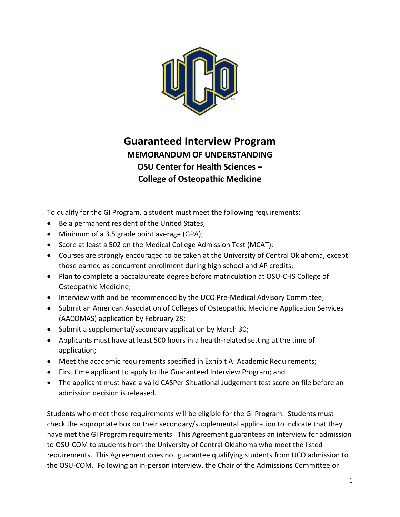

## **Guaranteed Interview Program MEMORANDUM OF UNDERSTANDING OSU Center for Health Sciences – College of Osteopathic Medicine**

To qualify for the GI Program, a student must meet the following requirements:

- Be a permanent resident of the United States;
- Minimum of a 3.5 grade point average (GPA);
- Score at least a 502 on the Medical College Admission Test (MCAT);
- Courses are strongly encouraged to be taken at the University of Central Oklahoma, except those earned as concurrent enrollment during high school and AP credits;
- Plan to complete a baccalaureate degree before matriculation at OSU-CHS College of Osteopathic Medicine;
- Interview with and be recommended by the UCO Pre-Medical Advisory Committee;
- Submit an American Association of Colleges of Osteopathic Medicine Application Services (AACOMAS) application by February 28;
- Submit a supplemental/secondary application by March 30;
- Applicants must have at least 500 hours in a health-related setting at the time of application;
- Meet the academic requirements specified in Exhibit A: Academic Requirements;
- First time applicant to apply to the Guaranteed Interview Program; and
- The applicant must have a valid CASPer Situational Judgement test score on file before an admission decision is released.

Students who meet these requirements will be eligible for the GI Program. Students must check the appropriate box on their secondary/supplemental application to indicate that they have met the GI Program requirements. This Agreement guarantees an interview for admission to OSU-COM to students from the University of Central Oklahoma who meet the listed requirements. This Agreement does not guarantee qualifying students from UCO admission to the OSU-COM. Following an in-person interview, the Chair of the Admissions Committee or